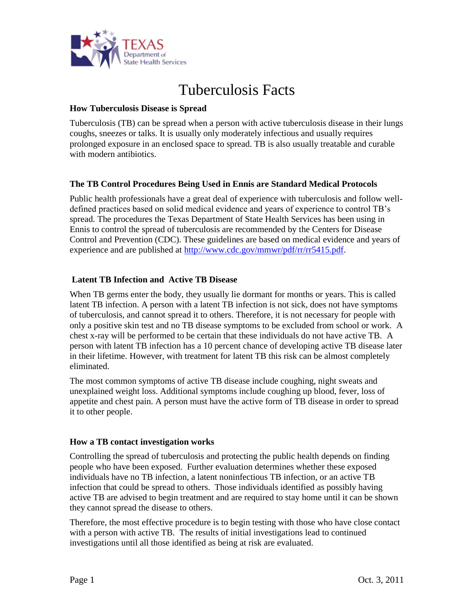

# Tuberculosis Facts

#### **How Tuberculosis Disease is Spread**

Tuberculosis (TB) can be spread when a person with active tuberculosis disease in their lungs coughs, sneezes or talks. It is usually only moderately infectious and usually requires prolonged exposure in an enclosed space to spread. TB is also usually treatable and curable with modern antibiotics.

#### **The TB Control Procedures Being Used in Ennis are Standard Medical Protocols**

Public health professionals have a great deal of experience with tuberculosis and follow welldefined practices based on solid medical evidence and years of experience to control TB's spread. The procedures the Texas Department of State Health Services has been using in Ennis to control the spread of tuberculosis are recommended by the Centers for Disease Control and Prevention (CDC). These guidelines are based on medical evidence and years of experience and are published at [http://www.cdc.gov/mmwr/pdf/rr/rr5415.pdf.](http://www.cdc.gov/mmwr/pdf/rr/rr5415.pdf)

### **Latent TB Infection and Active TB Disease**

When TB germs enter the body, they usually lie dormant for months or years. This is called latent TB infection. A person with a latent TB infection is not sick, does not have symptoms of tuberculosis, and cannot spread it to others. Therefore, it is not necessary for people with only a positive skin test and no TB disease symptoms to be excluded from school or work. A chest x-ray will be performed to be certain that these individuals do not have active TB. A person with latent TB infection has a 10 percent chance of developing active TB disease later in their lifetime. However, with treatment for latent TB this risk can be almost completely eliminated.

The most common symptoms of active TB disease include coughing, night sweats and unexplained weight loss. Additional symptoms include coughing up blood, fever, loss of appetite and chest pain. A person must have the active form of TB disease in order to spread it to other people.

#### **How a TB contact investigation works**

Controlling the spread of tuberculosis and protecting the public health depends on finding people who have been exposed. Further evaluation determines whether these exposed individuals have no TB infection, a latent noninfectious TB infection, or an active TB infection that could be spread to others. Those individuals identified as possibly having active TB are advised to begin treatment and are required to stay home until it can be shown they cannot spread the disease to others.

Therefore, the most effective procedure is to begin testing with those who have close contact with a person with active TB. The results of initial investigations lead to continued investigations until all those identified as being at risk are evaluated.